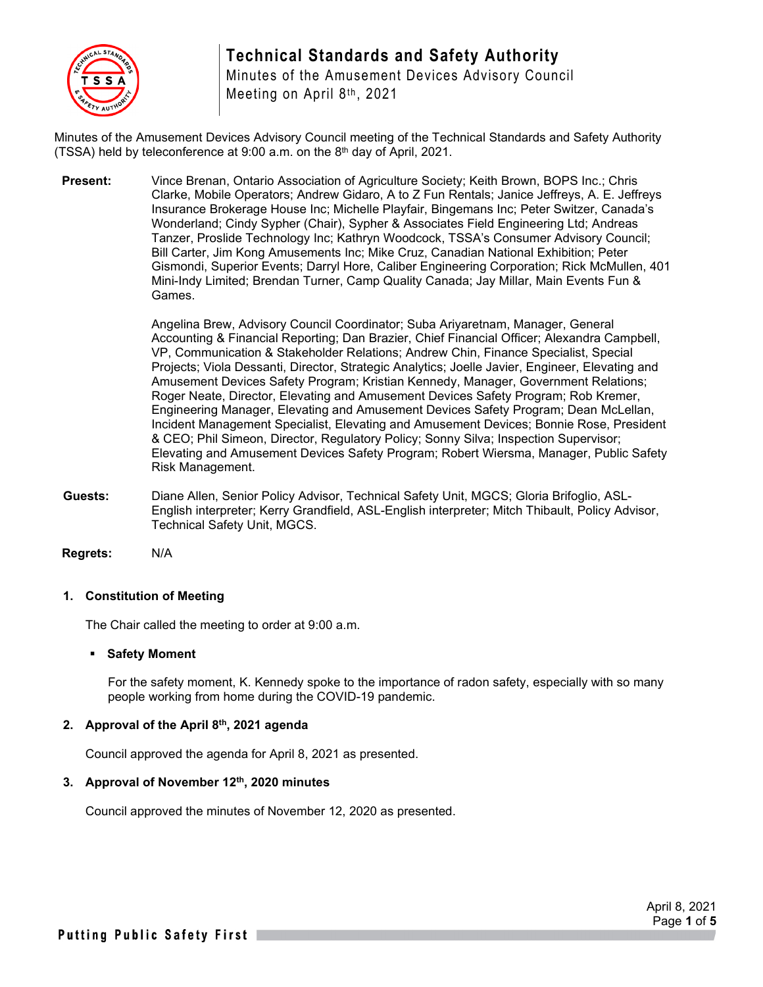

## **Technical Standards and Safety Authority**

Minutes of the Amusement Devices Advisory Council Meeting on April 8th, 2021

Minutes of the Amusement Devices Advisory Council meeting of the Technical Standards and Safety Authority (TSSA) held by teleconference at 9:00 a.m. on the 8th day of April, 2021.

**Present:** Vince Brenan, Ontario Association of Agriculture Society; Keith Brown, BOPS Inc.; Chris Clarke, Mobile Operators; Andrew Gidaro, A to Z Fun Rentals; Janice Jeffreys, A. E. Jeffreys Insurance Brokerage House Inc; Michelle Playfair, Bingemans Inc; Peter Switzer, Canada's Wonderland; Cindy Sypher (Chair), Sypher & Associates Field Engineering Ltd; Andreas Tanzer, Proslide Technology Inc; Kathryn Woodcock, TSSA's Consumer Advisory Council; Bill Carter, Jim Kong Amusements Inc; Mike Cruz, Canadian National Exhibition; Peter Gismondi, Superior Events; Darryl Hore, Caliber Engineering Corporation; Rick McMullen, 401 Mini-Indy Limited; Brendan Turner, Camp Quality Canada; Jay Millar, Main Events Fun & Games.

> Angelina Brew, Advisory Council Coordinator; Suba Ariyaretnam, Manager, General Accounting & Financial Reporting; Dan Brazier, Chief Financial Officer; Alexandra Campbell, VP, Communication & Stakeholder Relations; Andrew Chin, Finance Specialist, Special Projects; Viola Dessanti, Director, Strategic Analytics; Joelle Javier, Engineer, Elevating and Amusement Devices Safety Program; Kristian Kennedy, Manager, Government Relations; Roger Neate, Director, Elevating and Amusement Devices Safety Program; Rob Kremer, Engineering Manager, Elevating and Amusement Devices Safety Program; Dean McLellan, Incident Management Specialist, Elevating and Amusement Devices; Bonnie Rose, President & CEO; Phil Simeon, Director, Regulatory Policy; Sonny Silva; Inspection Supervisor; Elevating and Amusement Devices Safety Program; Robert Wiersma, Manager, Public Safety Risk Management.

**Guests:** Diane Allen, Senior Policy Advisor, Technical Safety Unit, MGCS; Gloria Brifoglio, ASL-English interpreter; Kerry Grandfield, ASL-English interpreter; Mitch Thibault, Policy Advisor, Technical Safety Unit, MGCS.

**Regrets:** N/A

#### **1. Constitution of Meeting**

The Chair called the meeting to order at 9:00 a.m.

#### **Safety Moment**

For the safety moment, K. Kennedy spoke to the importance of radon safety, especially with so many people working from home during the COVID-19 pandemic.

#### **2. Approval of the April 8th, 2021 agenda**

Council approved the agenda for April 8, 2021 as presented.

#### **3. Approval of November 12th, 2020 minutes**

Council approved the minutes of November 12, 2020 as presented.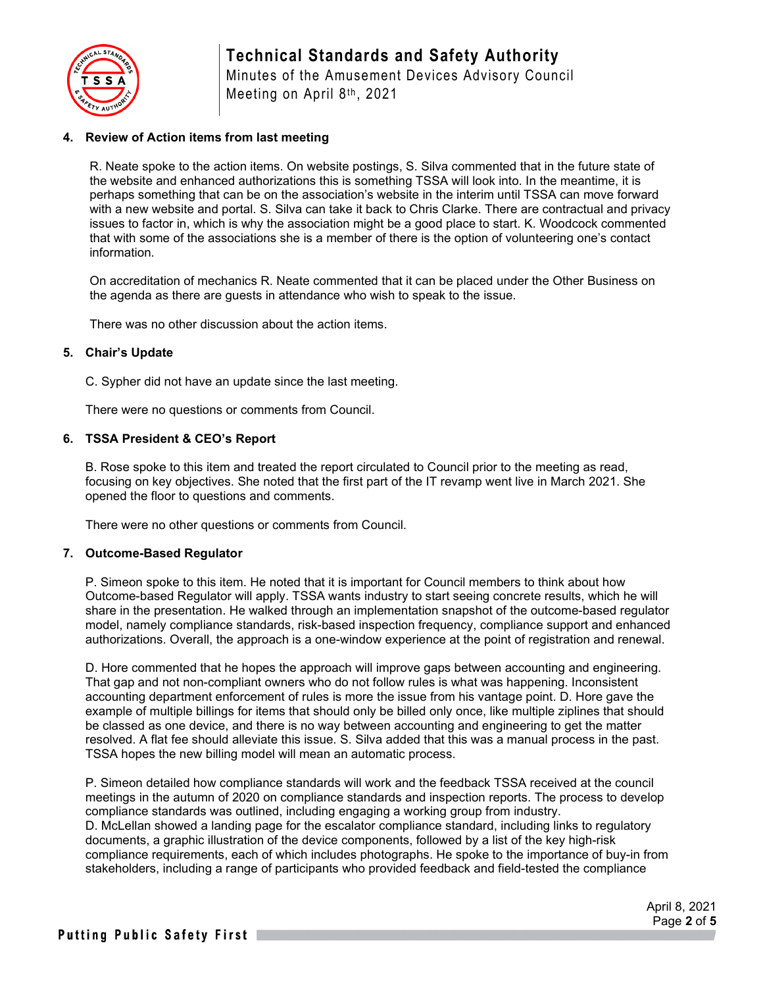

# **Technical Standards and Safety Authority**

Minutes of the Amusement Devices Advisory Council Meeting on April 8th, 2021

#### **4. Review of Action items from last meeting**

R. Neate spoke to the action items. On website postings, S. Silva commented that in the future state of the website and enhanced authorizations this is something TSSA will look into. In the meantime, it is perhaps something that can be on the association's website in the interim until TSSA can move forward with a new website and portal. S. Silva can take it back to Chris Clarke. There are contractual and privacy issues to factor in, which is why the association might be a good place to start. K. Woodcock commented that with some of the associations she is a member of there is the option of volunteering one's contact information.

On accreditation of mechanics R. Neate commented that it can be placed under the Other Business on the agenda as there are guests in attendance who wish to speak to the issue.

There was no other discussion about the action items.

#### **5. Chair's Update**

C. Sypher did not have an update since the last meeting.

There were no questions or comments from Council.

#### **6. TSSA President & CEO's Report**

B. Rose spoke to this item and treated the report circulated to Council prior to the meeting as read, focusing on key objectives. She noted that the first part of the IT revamp went live in March 2021. She opened the floor to questions and comments.

There were no other questions or comments from Council.

#### **7. Outcome-Based Regulator**

P. Simeon spoke to this item. He noted that it is important for Council members to think about how Outcome-based Regulator will apply. TSSA wants industry to start seeing concrete results, which he will share in the presentation. He walked through an implementation snapshot of the outcome-based regulator model, namely compliance standards, risk-based inspection frequency, compliance support and enhanced authorizations. Overall, the approach is a one-window experience at the point of registration and renewal.

D. Hore commented that he hopes the approach will improve gaps between accounting and engineering. That gap and not non-compliant owners who do not follow rules is what was happening. Inconsistent accounting department enforcement of rules is more the issue from his vantage point. D. Hore gave the example of multiple billings for items that should only be billed only once, like multiple ziplines that should be classed as one device, and there is no way between accounting and engineering to get the matter resolved. A flat fee should alleviate this issue. S. Silva added that this was a manual process in the past. TSSA hopes the new billing model will mean an automatic process.

P. Simeon detailed how compliance standards will work and the feedback TSSA received at the council meetings in the autumn of 2020 on compliance standards and inspection reports. The process to develop compliance standards was outlined, including engaging a working group from industry. D. McLellan showed a landing page for the escalator compliance standard, including links to regulatory documents, a graphic illustration of the device components, followed by a list of the key high-risk compliance requirements, each of which includes photographs. He spoke to the importance of buy-in from stakeholders, including a range of participants who provided feedback and field-tested the compliance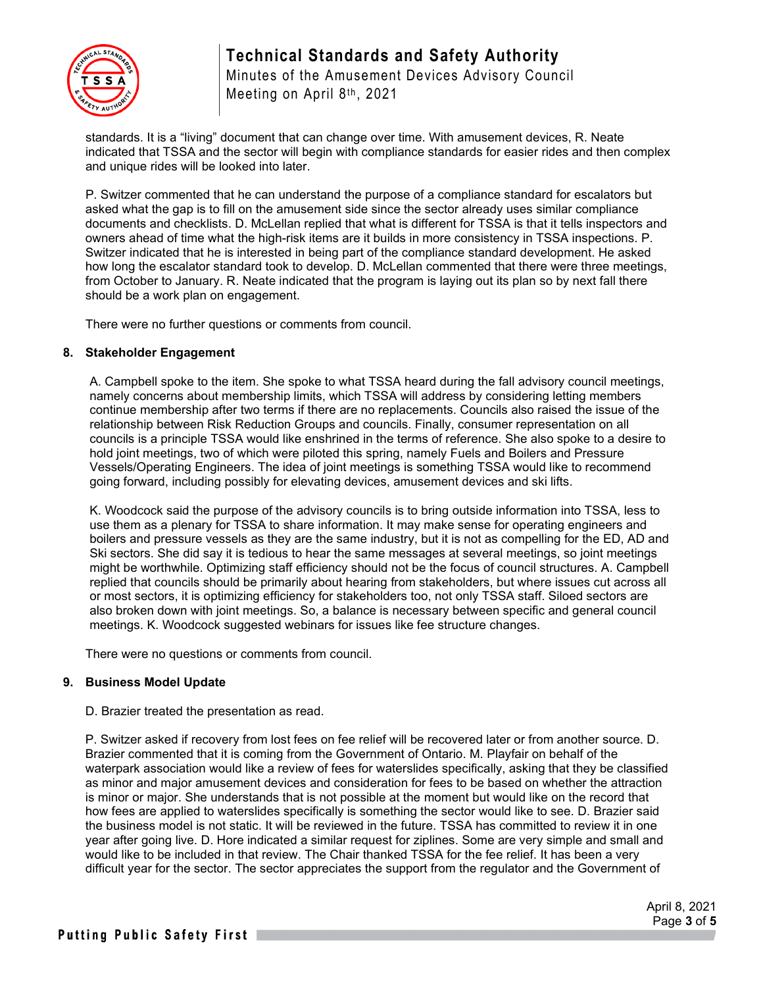

# **Technical Standards and Safety Authority**

Minutes of the Amusement Devices Advisory Council Meeting on April 8th, 2021

standards. It is a "living" document that can change over time. With amusement devices, R. Neate indicated that TSSA and the sector will begin with compliance standards for easier rides and then complex and unique rides will be looked into later.

P. Switzer commented that he can understand the purpose of a compliance standard for escalators but asked what the gap is to fill on the amusement side since the sector already uses similar compliance documents and checklists. D. McLellan replied that what is different for TSSA is that it tells inspectors and owners ahead of time what the high-risk items are it builds in more consistency in TSSA inspections. P. Switzer indicated that he is interested in being part of the compliance standard development. He asked how long the escalator standard took to develop. D. McLellan commented that there were three meetings, from October to January. R. Neate indicated that the program is laying out its plan so by next fall there should be a work plan on engagement.

There were no further questions or comments from council.

#### **8. Stakeholder Engagement**

A. Campbell spoke to the item. She spoke to what TSSA heard during the fall advisory council meetings, namely concerns about membership limits, which TSSA will address by considering letting members continue membership after two terms if there are no replacements. Councils also raised the issue of the relationship between Risk Reduction Groups and councils. Finally, consumer representation on all councils is a principle TSSA would like enshrined in the terms of reference. She also spoke to a desire to hold joint meetings, two of which were piloted this spring, namely Fuels and Boilers and Pressure Vessels/Operating Engineers. The idea of joint meetings is something TSSA would like to recommend going forward, including possibly for elevating devices, amusement devices and ski lifts.

K. Woodcock said the purpose of the advisory councils is to bring outside information into TSSA, less to use them as a plenary for TSSA to share information. It may make sense for operating engineers and boilers and pressure vessels as they are the same industry, but it is not as compelling for the ED, AD and Ski sectors. She did say it is tedious to hear the same messages at several meetings, so joint meetings might be worthwhile. Optimizing staff efficiency should not be the focus of council structures. A. Campbell replied that councils should be primarily about hearing from stakeholders, but where issues cut across all or most sectors, it is optimizing efficiency for stakeholders too, not only TSSA staff. Siloed sectors are also broken down with joint meetings. So, a balance is necessary between specific and general council meetings. K. Woodcock suggested webinars for issues like fee structure changes.

There were no questions or comments from council.

#### **9. Business Model Update**

#### D. Brazier treated the presentation as read.

P. Switzer asked if recovery from lost fees on fee relief will be recovered later or from another source. D. Brazier commented that it is coming from the Government of Ontario. M. Playfair on behalf of the waterpark association would like a review of fees for waterslides specifically, asking that they be classified as minor and major amusement devices and consideration for fees to be based on whether the attraction is minor or major. She understands that is not possible at the moment but would like on the record that how fees are applied to waterslides specifically is something the sector would like to see. D. Brazier said the business model is not static. It will be reviewed in the future. TSSA has committed to review it in one year after going live. D. Hore indicated a similar request for ziplines. Some are very simple and small and would like to be included in that review. The Chair thanked TSSA for the fee relief. It has been a very difficult year for the sector. The sector appreciates the support from the regulator and the Government of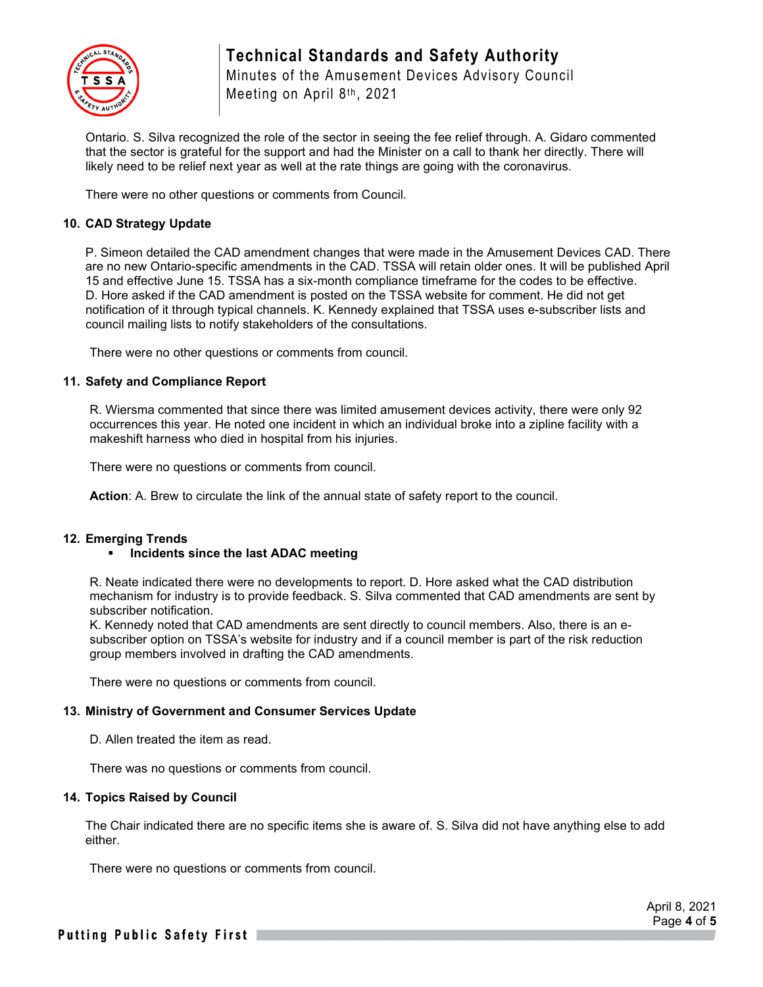

## **Technical Standards and Safety Authority** Minutes of the Amusement Devices Advisory Council

Meeting on April 8th, 2021

Ontario. S. Silva recognized the role of the sector in seeing the fee relief through. A. Gidaro commented that the sector is grateful for the support and had the Minister on a call to thank her directly. There will likely need to be relief next year as well at the rate things are going with the coronavirus.

There were no other questions or comments from Council.

#### **10. CAD Strategy Update**

P. Simeon detailed the CAD amendment changes that were made in the Amusement Devices CAD. There are no new Ontario-specific amendments in the CAD. TSSA will retain older ones. It will be published April 15 and effective June 15. TSSA has a six-month compliance timeframe for the codes to be effective. D. Hore asked if the CAD amendment is posted on the TSSA website for comment. He did not get notification of it through typical channels. K. Kennedy explained that TSSA uses e-subscriber lists and council mailing lists to notify stakeholders of the consultations.

There were no other questions or comments from council.

#### **11. Safety and Compliance Report**

R. Wiersma commented that since there was limited amusement devices activity, there were only 92 occurrences this year. He noted one incident in which an individual broke into a zipline facility with a makeshift harness who died in hospital from his injuries.

There were no questions or comments from council.

**Action**: A. Brew to circulate the link of the annual state of safety report to the council.

#### **12. Emerging Trends**

#### **Incidents since the last ADAC meeting**

R. Neate indicated there were no developments to report. D. Hore asked what the CAD distribution mechanism for industry is to provide feedback. S. Silva commented that CAD amendments are sent by subscriber notification.

K. Kennedy noted that CAD amendments are sent directly to council members. Also, there is an esubscriber option on TSSA's website for industry and if a council member is part of the risk reduction group members involved in drafting the CAD amendments.

There were no questions or comments from council.

### **13. Ministry of Government and Consumer Services Update**

D. Allen treated the item as read.

There was no questions or comments from council.

#### **14. Topics Raised by Council**

The Chair indicated there are no specific items she is aware of. S. Silva did not have anything else to add either.

There were no questions or comments from council.